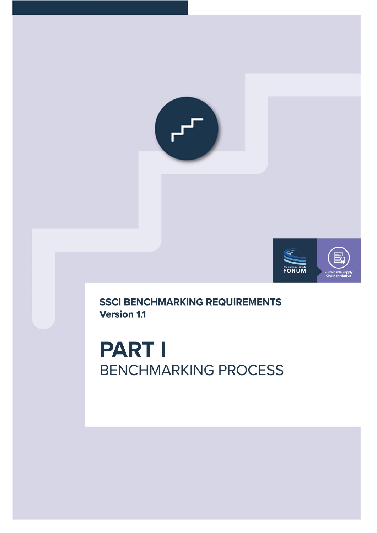



**SSCI BENCHMARKING REQUIREMENTS Version 1.1** 

**PART I BENCHMARKING PROCESS**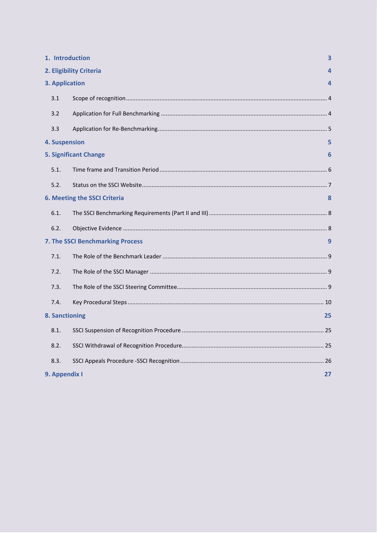|                       | 1. Introduction<br>3                |    |  |
|-----------------------|-------------------------------------|----|--|
|                       | 2. Eligibility Criteria             |    |  |
| 3. Application        |                                     | 4  |  |
| 3.1                   |                                     |    |  |
| 3.2                   |                                     |    |  |
| 3.3                   |                                     |    |  |
| <b>4. Suspension</b>  |                                     | 5  |  |
|                       | <b>5. Significant Change</b>        | 6  |  |
| 5.1.                  |                                     |    |  |
| 5.2.                  |                                     |    |  |
|                       | <b>6. Meeting the SSCI Criteria</b> | 8  |  |
| 6.1.                  |                                     |    |  |
| 6.2.                  |                                     |    |  |
|                       | 7. The SSCI Benchmarking Process    | 9  |  |
| 7.1.                  |                                     |    |  |
| 7.2.                  |                                     |    |  |
| 7.3.                  |                                     |    |  |
| 7.4.                  |                                     |    |  |
| <b>8. Sanctioning</b> |                                     | 25 |  |
| 8.1.                  |                                     |    |  |
| 8.2.                  |                                     |    |  |
| 8.3.                  |                                     |    |  |
|                       | 9. Appendix I<br>27                 |    |  |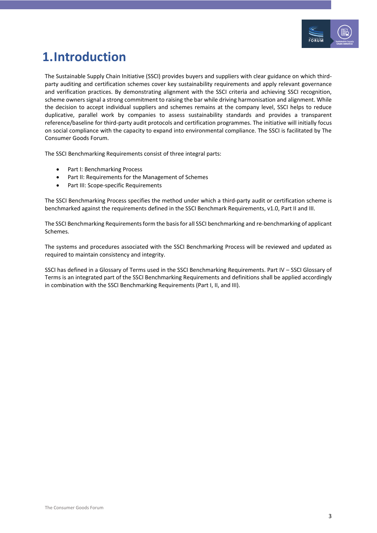

# <span id="page-2-0"></span>**1.Introduction**

The Sustainable Supply Chain Initiative (SSCI) provides buyers and suppliers with clear guidance on which thirdparty auditing and certification schemes cover key sustainability requirements and apply relevant governance and verification practices. By demonstrating alignment with the SSCI criteria and achieving SSCI recognition, scheme owners signal a strong commitment to raising the bar while driving harmonisation and alignment. While the decision to accept individual suppliers and schemes remains at the company level, SSCI helps to reduce duplicative, parallel work by companies to assess sustainability standards and provides a transparent reference/baseline for third-party audit protocols and certification programmes. The initiative will initially focus on social compliance with the capacity to expand into environmental compliance. The SSCI is facilitated by The Consumer Goods Forum.

The SSCI Benchmarking Requirements consist of three integral parts:

- Part I: Benchmarking Process
- Part II: Requirements for the Management of Schemes
- Part III: Scope-specific Requirements

The SSCI Benchmarking Process specifies the method under which a third-party audit or certification scheme is benchmarked against the requirements defined in the SSCI Benchmark Requirements, v1.0, Part II and III.

The SSCI Benchmarking Requirements form the basis for all SSCI benchmarking and re-benchmarking of applicant Schemes.

The systems and procedures associated with the SSCI Benchmarking Process will be reviewed and updated as required to maintain consistency and integrity.

SSCI has defined in a Glossary of Terms used in the SSCI Benchmarking Requirements. Part IV – SSCI Glossary of Terms is an integrated part of the SSCI Benchmarking Requirements and definitions shall be applied accordingly in combination with the SSCI Benchmarking Requirements (Part I, II, and III).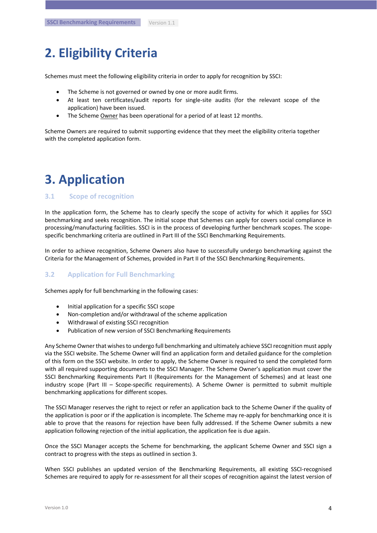## <span id="page-3-0"></span>**2. Eligibility Criteria**

Schemes must meet the following eligibility criteria in order to apply for recognition by SSCI:

- The Scheme is not governed or owned by one or more audit firms.
- At least ten certificates/audit reports for single-site audits (for the relevant scope of the application) have been issued.
- The Scheme Owner has been operational for a period of at least 12 months.

Scheme Owners are required to submit supporting evidence that they meet the eligibility criteria together with the completed application form.

# <span id="page-3-1"></span>**3. Application**

#### <span id="page-3-2"></span>**3.1 Scope of recognition**

In the application form, the Scheme has to clearly specify the scope of activity for which it applies for SSCI benchmarking and seeks recognition. The initial scope that Schemes can apply for covers social compliance in processing/manufacturing facilities. SSCI is in the process of developing further benchmark scopes. The scopespecific benchmarking criteria are outlined in Part III of the SSCI Benchmarking Requirements.

In order to achieve recognition, Scheme Owners also have to successfully undergo benchmarking against the Criteria for the Management of Schemes, provided in Part II of the SSCI Benchmarking Requirements.

#### <span id="page-3-3"></span>**3.2 Application for Full Benchmarking**

Schemes apply for full benchmarking in the following cases:

- Initial application for a specific SSCI scope
- Non-completion and/or withdrawal of the scheme application
- Withdrawal of existing SSCI recognition
- Publication of new version of SSCI Benchmarking Requirements

Any Scheme Owner that wishes to undergo full benchmarking and ultimately achieve SSCI recognition must apply via the SSCI website. The Scheme Owner will find an application form and detailed guidance for the completion of this form on the SSCI website. In order to apply, the Scheme Owner is required to send the completed form with all required supporting documents to the SSCI Manager. The Scheme Owner's application must cover the SSCI Benchmarking Requirements Part II (Requirements for the Management of Schemes) and at least one industry scope (Part III – Scope-specific requirements). A Scheme Owner is permitted to submit multiple benchmarking applications for different scopes.

The SSCI Manager reserves the right to reject or refer an application back to the Scheme Owner if the quality of the application is poor or if the application is incomplete. The Scheme may re-apply for benchmarking once it is able to prove that the reasons for rejection have been fully addressed. If the Scheme Owner submits a new application following rejection of the initial application, the application fee is due again.

Once the SSCI Manager accepts the Scheme for benchmarking, the applicant Scheme Owner and SSCI sign a contract to progress with the steps as outlined in section 3.

When SSCI publishes an updated version of the Benchmarking Requirements, all existing SSCI-recognised Schemes are required to apply for re-assessment for all their scopes of recognition against the latest version of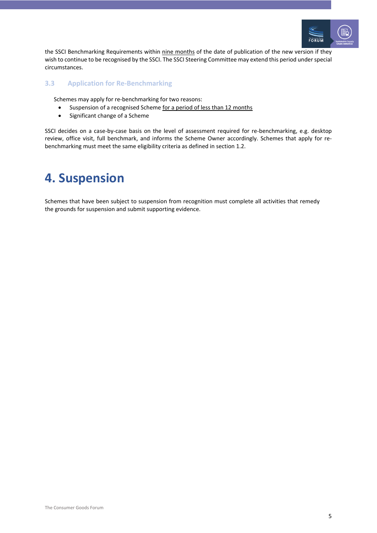

the SSCI Benchmarking Requirements within nine months of the date of publication of the new version if they wish to continue to be recognised by the SSCI. The SSCI Steering Committee may extend this period under special circumstances.

### <span id="page-4-0"></span>**3.3 Application for Re-Benchmarking**

Schemes may apply for re-benchmarking for two reasons:

- Suspension of a recognised Scheme for a period of less than 12 months
- Significant change of a Scheme

SSCI decides on a case-by-case basis on the level of assessment required for re-benchmarking, e.g. desktop review, office visit, full benchmark, and informs the Scheme Owner accordingly. Schemes that apply for rebenchmarking must meet the same eligibility criteria as defined in section 1.2.

# <span id="page-4-1"></span>**4. Suspension**

Schemes that have been subject to suspension from recognition must complete all activities that remedy the grounds for suspension and submit supporting evidence.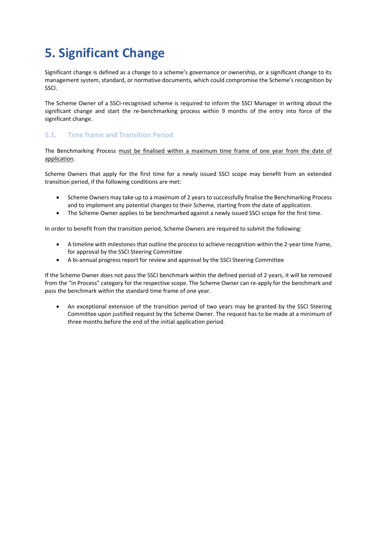# <span id="page-5-0"></span>**5. Significant Change**

Significant change is defined as a change to a scheme's governance or ownership, or a significant change to its management system, standard, or normative documents, which could compromise the Scheme's recognition by SSCI.

The Scheme Owner of a SSCI-recognised scheme is required to inform the SSCI Manager in writing about the significant change and start the re-benchmarking process within 9 months of the entry into force of the significant change.

### <span id="page-5-1"></span>**5.1. Time frame and Transition Period**

The Benchmarking Process must be finalised within a maximum time frame of one year from the date of application.

Scheme Owners that apply for the first time for a newly issued SSCI scope may benefit from an extended transition period, if the following conditions are met:

- Scheme Owners may take up to a maximum of 2 years to successfully finalise the Benchmarking Process and to implement any potential changes to their Scheme, starting from the date of application.
- The Scheme Owner applies to be benchmarked against a newly issued SSCI scope for the first time.

In order to benefit from the transition period, Scheme Owners are required to submit the following:

- A timeline with milestones that outline the process to achieve recognition within the 2-year time frame, for approval by the SSCI Steering Committee
- A bi-annual progress report for review and approval by the SSCI Steering Committee

If the Scheme Owner does not pass the SSCI benchmark within the defined period of 2 years, it will be removed from the "in Process" category for the respective scope. The Scheme Owner can re-apply for the benchmark and pass the benchmark within the standard time frame of one year.

• An exceptional extension of the transition period of two years may be granted by the SSCI Steering Committee upon justified request by the Scheme Owner. The request has to be made at a minimum of three months before the end of the initial application period.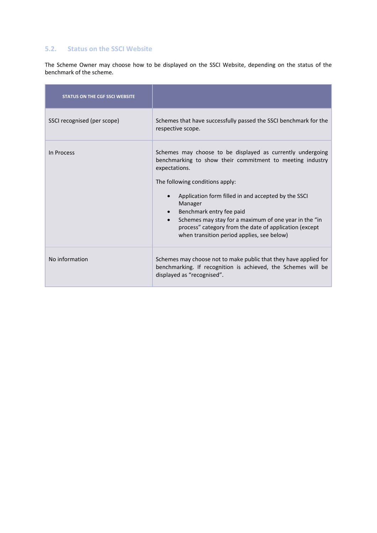### <span id="page-6-0"></span>**5.2. Status on the SSCI Website**

The Scheme Owner may choose how to be displayed on the SSCI Website, depending on the status of the benchmark of the scheme.

| <b>STATUS ON THE CGF SSCI WEBSITE</b> |                                                                                                                                                                                                                                                                                                                                                                                                                                            |
|---------------------------------------|--------------------------------------------------------------------------------------------------------------------------------------------------------------------------------------------------------------------------------------------------------------------------------------------------------------------------------------------------------------------------------------------------------------------------------------------|
| SSCI recognised (per scope)           | Schemes that have successfully passed the SSCI benchmark for the<br>respective scope.                                                                                                                                                                                                                                                                                                                                                      |
| In Process                            | Schemes may choose to be displayed as currently undergoing<br>benchmarking to show their commitment to meeting industry<br>expectations.<br>The following conditions apply:<br>Application form filled in and accepted by the SSCI<br>Manager<br>Benchmark entry fee paid<br>Schemes may stay for a maximum of one year in the "in<br>process" category from the date of application (except<br>when transition period applies, see below) |
| No information                        | Schemes may choose not to make public that they have applied for<br>benchmarking. If recognition is achieved, the Schemes will be<br>displayed as "recognised".                                                                                                                                                                                                                                                                            |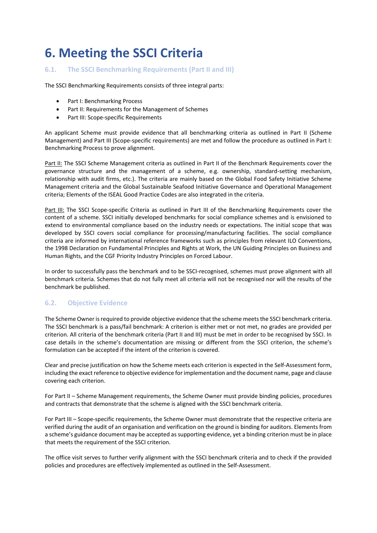# <span id="page-7-0"></span>**6. Meeting the SSCI Criteria**

#### <span id="page-7-1"></span>**6.1. The SSCI Benchmarking Requirements (Part II and III)**

The SSCI Benchmarking Requirements consists of three integral parts:

- Part I: Benchmarking Process
- Part II: Requirements for the Management of Schemes
- Part III: Scope-specific Requirements

An applicant Scheme must provide evidence that all benchmarking criteria as outlined in Part II (Scheme Management) and Part III (Scope-specific requirements) are met and follow the procedure as outlined in Part I: Benchmarking Process to prove alignment.

Part II: The SSCI Scheme Management criteria as outlined in Part II of the Benchmark Requirements cover the governance structure and the management of a scheme, e.g. ownership, standard-setting mechanism, relationship with audit firms, etc.). The criteria are mainly based on the Global Food Safety Initiative Scheme Management criteria and the Global Sustainable Seafood Initiative Governance and Operational Management criteria; Elements of the ISEAL Good Practice Codes are also integrated in the criteria.

Part III: The SSCI Scope-specific Criteria as outlined in Part III of the Benchmarking Requirements cover the content of a scheme. SSCI initially developed benchmarks for social compliance schemes and is envisioned to extend to environmental compliance based on the industry needs or expectations. The initial scope that was developed by SSCI covers social compliance for processing/manufacturing facilities. The social compliance criteria are informed by international reference frameworks such as principles from relevant ILO Conventions, the 1998 Declaration on Fundamental Principles and Rights at Work, the UN Guiding Principles on Business and Human Rights, and the CGF Priority Industry Principles on Forced Labour.

In order to successfully pass the benchmark and to be SSCI-recognised, schemes must prove alignment with all benchmark criteria. Schemes that do not fully meet all criteria will not be recognised nor will the results of the benchmark be published.

#### <span id="page-7-2"></span>**6.2. Objective Evidence**

The Scheme Owner is required to provide objective evidence that the scheme meets the SSCI benchmark criteria. The SSCI benchmark is a pass/fail benchmark: A criterion is either met or not met, no grades are provided per criterion. All criteria of the benchmark criteria (Part II and III) must be met in order to be recognised by SSCI. In case details in the scheme's documentation are missing or different from the SSCI criterion, the scheme's formulation can be accepted if the intent of the criterion is covered.

Clear and precise justification on how the Scheme meets each criterion is expected in the Self-Assessment form, including the exact reference to objective evidence for implementation and the document name, page and clause covering each criterion.

For Part II – Scheme Management requirements, the Scheme Owner must provide binding policies, procedures and contracts that demonstrate that the scheme is aligned with the SSCI benchmark criteria.

For Part III – Scope-specific requirements, the Scheme Owner must demonstrate that the respective criteria are verified during the audit of an organisation and verification on the ground is binding for auditors. Elements from a scheme's guidance document may be accepted as supporting evidence, yet a binding criterion must be in place that meets the requirement of the SSCI criterion.

The office visit serves to further verify alignment with the SSCI benchmark criteria and to check if the provided policies and procedures are effectively implemented as outlined in the Self-Assessment.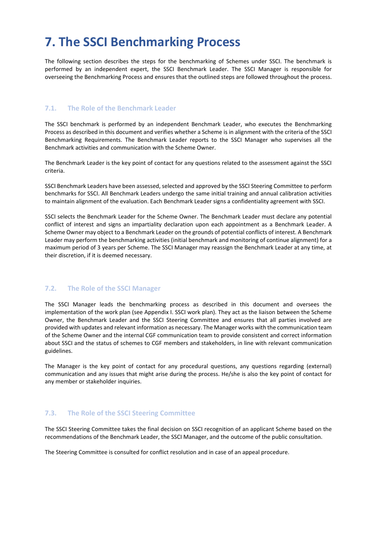## <span id="page-8-0"></span>**7. The SSCI Benchmarking Process**

The following section describes the steps for the benchmarking of Schemes under SSCI. The benchmark is performed by an independent expert, the SSCI Benchmark Leader. The SSCI Manager is responsible for overseeing the Benchmarking Process and ensures that the outlined steps are followed throughout the process.

#### <span id="page-8-1"></span>**7.1. The Role of the Benchmark Leader**

The SSCI benchmark is performed by an independent Benchmark Leader, who executes the Benchmarking Process as described in this document and verifies whether a Scheme is in alignment with the criteria of the SSCI Benchmarking Requirements. The Benchmark Leader reports to the SSCI Manager who supervises all the Benchmark activities and communication with the Scheme Owner.

The Benchmark Leader is the key point of contact for any questions related to the assessment against the SSCI criteria.

SSCI Benchmark Leaders have been assessed, selected and approved by the SSCI Steering Committee to perform benchmarks for SSCI. All Benchmark Leaders undergo the same initial training and annual calibration activities to maintain alignment of the evaluation. Each Benchmark Leader signs a confidentiality agreement with SSCI.

SSCI selects the Benchmark Leader for the Scheme Owner. The Benchmark Leader must declare any potential conflict of interest and signs an impartiality declaration upon each appointment as a Benchmark Leader. A Scheme Owner may object to a Benchmark Leader on the grounds of potential conflicts of interest. A Benchmark Leader may perform the benchmarking activities (initial benchmark and monitoring of continue alignment) for a maximum period of 3 years per Scheme. The SSCI Manager may reassign the Benchmark Leader at any time, at their discretion, if it is deemed necessary.

#### <span id="page-8-2"></span>**7.2. The Role of the SSCI Manager**

The SSCI Manager leads the benchmarking process as described in this document and oversees the implementation of the work plan (see Appendix I. SSCI work plan). They act as the liaison between the Scheme Owner, the Benchmark Leader and the SSCI Steering Committee and ensures that all parties involved are provided with updates and relevant information as necessary. The Manager works with the communication team of the Scheme Owner and the internal CGF communication team to provide consistent and correct information about SSCI and the status of schemes to CGF members and stakeholders, in line with relevant communication guidelines.

The Manager is the key point of contact for any procedural questions, any questions regarding (external) communication and any issues that might arise during the process. He/she is also the key point of contact for any member or stakeholder inquiries.

#### <span id="page-8-3"></span>**7.3. The Role of the SSCI Steering Committee**

The SSCI Steering Committee takes the final decision on SSCI recognition of an applicant Scheme based on the recommendations of the Benchmark Leader, the SSCI Manager, and the outcome of the public consultation.

The Steering Committee is consulted for conflict resolution and in case of an appeal procedure.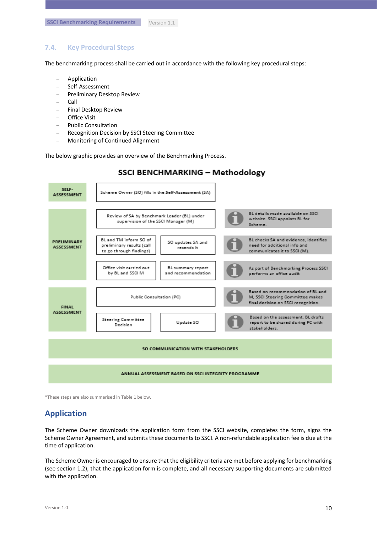#### <span id="page-9-0"></span>**7.4. Key Procedural Steps**

The benchmarking process shall be carried out in accordance with the following key procedural steps:

- − Application
- − Self-Assessment
- − Preliminary Desktop Review
- − Call
- − Final Desktop Review
- − Office Visit
- − Public Consultation
- − Recognition Decision by SSCI Steering Committee
- − Monitoring of Continued Alignment

The below graphic provides an overview of the Benchmarking Process.



\*These steps are also summarised in Table 1 below.

## **Application**

The Scheme Owner downloads the application form from the SSCI website, completes the form, signs the Scheme Owner Agreement, and submits these documents to SSCI. A non-refundable application fee is due at the time of application.

The Scheme Owner is encouraged to ensure that the eligibility criteria are met before applying for benchmarking (see section 1.2), that the application form is complete, and all necessary supporting documents are submitted with the application.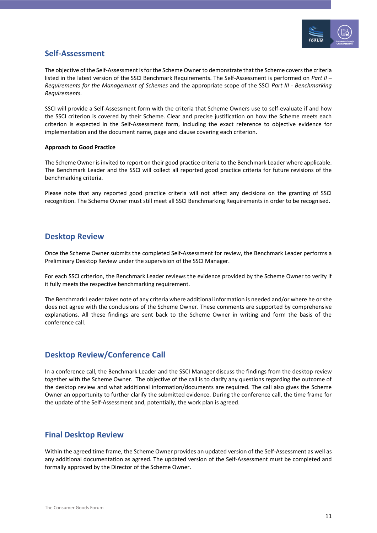

### **Self-Assessment**

The objective of the Self-Assessment is for the Scheme Owner to demonstrate that the Scheme covers the criteria listed in the latest version of the SSCI Benchmark Requirements. The Self-Assessment is performed on *Part II – Requirements for the Management of Schemes* and the appropriate scope of the SSCI *Part III - Benchmarking Requirements.*

SSCI will provide a Self-Assessment form with the criteria that Scheme Owners use to self-evaluate if and how the SSCI criterion is covered by their Scheme. Clear and precise justification on how the Scheme meets each criterion is expected in the Self-Assessment form, including the exact reference to objective evidence for implementation and the document name, page and clause covering each criterion.

#### **Approach to Good Practice**

The Scheme Owner is invited to report on their good practice criteria to the Benchmark Leader where applicable. The Benchmark Leader and the SSCI will collect all reported good practice criteria for future revisions of the benchmarking criteria.

Please note that any reported good practice criteria will not affect any decisions on the granting of SSCI recognition. The Scheme Owner must still meet all SSCI Benchmarking Requirements in order to be recognised.

### **Desktop Review**

Once the Scheme Owner submits the completed Self-Assessment for review, the Benchmark Leader performs a Preliminary Desktop Review under the supervision of the SSCI Manager.

For each SSCI criterion, the Benchmark Leader reviews the evidence provided by the Scheme Owner to verify if it fully meets the respective benchmarking requirement.

The Benchmark Leader takes note of any criteria where additional information is needed and/or where he or she does not agree with the conclusions of the Scheme Owner. These comments are supported by comprehensive explanations. All these findings are sent back to the Scheme Owner in writing and form the basis of the conference call.

### **Desktop Review/Conference Call**

In a conference call, the Benchmark Leader and the SSCI Manager discuss the findings from the desktop review together with the Scheme Owner. The objective of the call is to clarify any questions regarding the outcome of the desktop review and what additional information/documents are required. The call also gives the Scheme Owner an opportunity to further clarify the submitted evidence. During the conference call, the time frame for the update of the Self-Assessment and, potentially, the work plan is agreed.

### **Final Desktop Review**

Within the agreed time frame, the Scheme Owner provides an updated version of the Self-Assessment as well as any additional documentation as agreed. The updated version of the Self-Assessment must be completed and formally approved by the Director of the Scheme Owner.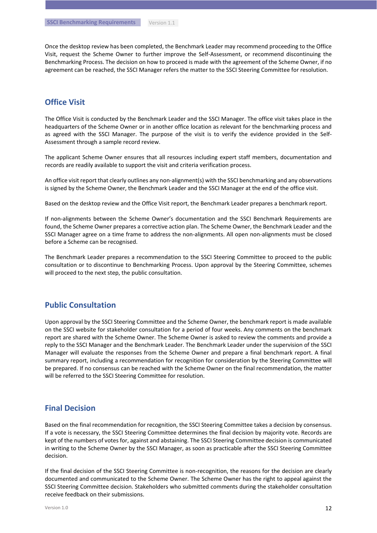Once the desktop review has been completed, the Benchmark Leader may recommend proceeding to the Office Visit, request the Scheme Owner to further improve the Self-Assessment, or recommend discontinuing the Benchmarking Process. The decision on how to proceed is made with the agreement of the Scheme Owner, if no agreement can be reached, the SSCI Manager refers the matter to the SSCI Steering Committee for resolution.

### **Office Visit**

The Office Visit is conducted by the Benchmark Leader and the SSCI Manager. The office visit takes place in the headquarters of the Scheme Owner or in another office location as relevant for the benchmarking process and as agreed with the SSCI Manager. The purpose of the visit is to verify the evidence provided in the Self-Assessment through a sample record review.

The applicant Scheme Owner ensures that all resources including expert staff members, documentation and records are readily available to support the visit and criteria verification process.

An office visit report that clearly outlines any non-alignment(s) with the SSCI benchmarking and any observations is signed by the Scheme Owner, the Benchmark Leader and the SSCI Manager at the end of the office visit.

Based on the desktop review and the Office Visit report, the Benchmark Leader prepares a benchmark report.

If non-alignments between the Scheme Owner's documentation and the SSCI Benchmark Requirements are found, the Scheme Owner prepares a corrective action plan. The Scheme Owner, the Benchmark Leader and the SSCI Manager agree on a time frame to address the non-alignments. All open non-alignments must be closed before a Scheme can be recognised.

The Benchmark Leader prepares a recommendation to the SSCI Steering Committee to proceed to the public consultation or to discontinue to Benchmarking Process. Upon approval by the Steering Committee, schemes will proceed to the next step, the public consultation.

### **Public Consultation**

Upon approval by the SSCI Steering Committee and the Scheme Owner, the benchmark report is made available on the SSCI website for stakeholder consultation for a period of four weeks. Any comments on the benchmark report are shared with the Scheme Owner. The Scheme Owner is asked to review the comments and provide a reply to the SSCI Manager and the Benchmark Leader. The Benchmark Leader under the supervision of the SSCI Manager will evaluate the responses from the Scheme Owner and prepare a final benchmark report. A final summary report, including a recommendation for recognition for consideration by the Steering Committee will be prepared. If no consensus can be reached with the Scheme Owner on the final recommendation, the matter will be referred to the SSCI Steering Committee for resolution.

#### **Final Decision**

Based on the final recommendation for recognition, the SSCI Steering Committee takes a decision by consensus. If a vote is necessary, the SSCI Steering Committee determines the final decision by majority vote. Records are kept of the numbers of votes for, against and abstaining. The SSCI Steering Committee decision is communicated in writing to the Scheme Owner by the SSCI Manager, as soon as practicable after the SSCI Steering Committee decision.

If the final decision of the SSCI Steering Committee is non-recognition, the reasons for the decision are clearly documented and communicated to the Scheme Owner. The Scheme Owner has the right to appeal against the SSCI Steering Committee decision. Stakeholders who submitted comments during the stakeholder consultation receive feedback on their submissions.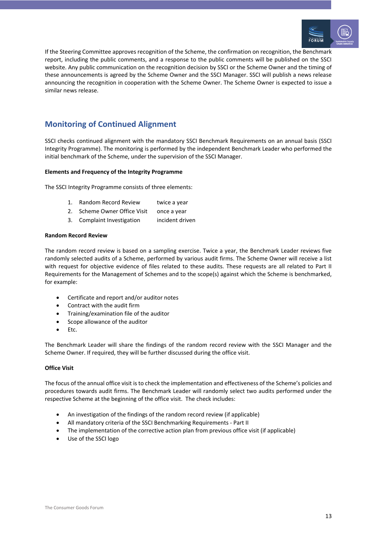

If the Steering Committee approves recognition of the Scheme, the confirmation on recognition, the Benchmark report, including the public comments, and a response to the public comments will be published on the SSCI website. Any public communication on the recognition decision by SSCI or the Scheme Owner and the timing of these announcements is agreed by the Scheme Owner and the SSCI Manager. SSCI will publish a news release announcing the recognition in cooperation with the Scheme Owner. The Scheme Owner is expected to issue a similar news release.

## **Monitoring of Continued Alignment**

SSCI checks continued alignment with the mandatory SSCI Benchmark Requirements on an annual basis (SSCI Integrity Programme). The monitoring is performed by the independent Benchmark Leader who performed the initial benchmark of the Scheme, under the supervision of the SSCI Manager.

#### **Elements and Frequency of the Integrity Programme**

The SSCI Integrity Programme consists of three elements:

- 1. Random Record Review twice a year
- 2. Scheme Owner Office Visit once a year
- 3. Complaint Investigation incident driven

#### **Random Record Review**

The random record review is based on a sampling exercise. Twice a year, the Benchmark Leader reviews five randomly selected audits of a Scheme, performed by various audit firms. The Scheme Owner will receive a list with request for objective evidence of files related to these audits. These requests are all related to Part II Requirements for the Management of Schemes and to the scope(s) against which the Scheme is benchmarked, for example:

- Certificate and report and/or auditor notes
- Contract with the audit firm
- Training/examination file of the auditor
- Scope allowance of the auditor
- Etc.

The Benchmark Leader will share the findings of the random record review with the SSCI Manager and the Scheme Owner. If required, they will be further discussed during the office visit.

#### **Office Visit**

The focus of the annual office visit is to check the implementation and effectiveness of the Scheme's policies and procedures towards audit firms. The Benchmark Leader will randomly select two audits performed under the respective Scheme at the beginning of the office visit. The check includes:

- An investigation of the findings of the random record review (if applicable)
- All mandatory criteria of the SSCI Benchmarking Requirements Part II
- The implementation of the corrective action plan from previous office visit (if applicable)
- Use of the SSCI logo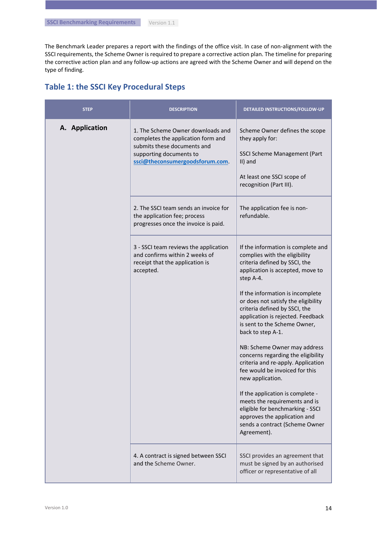The Benchmark Leader prepares a report with the findings of the office visit. In case of non-alignment with the SSCI requirements, the Scheme Owner is required to prepare a corrective action plan. The timeline for preparing the corrective action plan and any follow-up actions are agreed with the Scheme Owner and will depend on the type of finding.

## **Table 1: the SSCI Key Procedural Steps**

| <b>STEP</b>    | <b>DESCRIPTION</b>                                                                                                                                                  | DETAILED INSTRUCTIONS/FOLLOW-UP                                                                                                                                                                                                                                                                                                                                                                                                                                                                                                                                                                                                                                                                                         |
|----------------|---------------------------------------------------------------------------------------------------------------------------------------------------------------------|-------------------------------------------------------------------------------------------------------------------------------------------------------------------------------------------------------------------------------------------------------------------------------------------------------------------------------------------------------------------------------------------------------------------------------------------------------------------------------------------------------------------------------------------------------------------------------------------------------------------------------------------------------------------------------------------------------------------------|
| A. Application | 1. The Scheme Owner downloads and<br>completes the application form and<br>submits these documents and<br>supporting documents to<br>ssci@theconsumergoodsforum.com | Scheme Owner defines the scope<br>they apply for:<br>SSCI Scheme Management (Part<br>$II)$ and<br>At least one SSCI scope of<br>recognition (Part III).                                                                                                                                                                                                                                                                                                                                                                                                                                                                                                                                                                 |
|                | 2. The SSCI team sends an invoice for<br>the application fee; process<br>progresses once the invoice is paid.                                                       | The application fee is non-<br>refundable.                                                                                                                                                                                                                                                                                                                                                                                                                                                                                                                                                                                                                                                                              |
|                | 3 - SSCI team reviews the application<br>and confirms within 2 weeks of<br>receipt that the application is<br>accepted.                                             | If the information is complete and<br>complies with the eligibility<br>criteria defined by SSCI, the<br>application is accepted, move to<br>step A-4.<br>If the information is incomplete<br>or does not satisfy the eligibility<br>criteria defined by SSCI, the<br>application is rejected. Feedback<br>is sent to the Scheme Owner,<br>back to step A-1.<br>NB: Scheme Owner may address<br>concerns regarding the eligibility<br>criteria and re-apply. Application<br>fee would be invoiced for this<br>new application.<br>If the application is complete -<br>meets the requirements and is<br>eligible for benchmarking - SSCI<br>approves the application and<br>sends a contract (Scheme Owner<br>Agreement). |
|                | 4. A contract is signed between SSCI<br>and the Scheme Owner.                                                                                                       | SSCI provides an agreement that<br>must be signed by an authorised<br>officer or representative of all                                                                                                                                                                                                                                                                                                                                                                                                                                                                                                                                                                                                                  |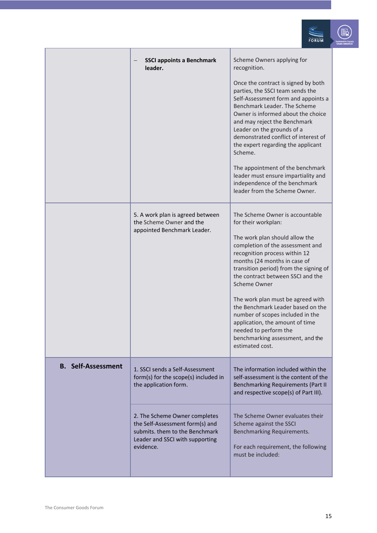|                           |                                                                                                                                                    | ORUM                                                                                                                                                                                                                                                                                                                                                                                                                                                                                                                                                                                                                                                                                                                                                                                                                                                                        |
|---------------------------|----------------------------------------------------------------------------------------------------------------------------------------------------|-----------------------------------------------------------------------------------------------------------------------------------------------------------------------------------------------------------------------------------------------------------------------------------------------------------------------------------------------------------------------------------------------------------------------------------------------------------------------------------------------------------------------------------------------------------------------------------------------------------------------------------------------------------------------------------------------------------------------------------------------------------------------------------------------------------------------------------------------------------------------------|
|                           | <b>SSCI appoints a Benchmark</b><br>leader.<br>5. A work plan is agreed between<br>the Scheme Owner and the<br>appointed Benchmark Leader.         | Scheme Owners applying for<br>recognition.<br>Once the contract is signed by both<br>parties, the SSCI team sends the<br>Self-Assessment form and appoints a<br>Benchmark Leader. The Scheme<br>Owner is informed about the choice<br>and may reject the Benchmark<br>Leader on the grounds of a<br>demonstrated conflict of interest of<br>the expert regarding the applicant<br>Scheme.<br>The appointment of the benchmark<br>leader must ensure impartiality and<br>independence of the benchmark<br>leader from the Scheme Owner.<br>The Scheme Owner is accountable<br>for their workplan:<br>The work plan should allow the<br>completion of the assessment and<br>recognition process within 12<br>months (24 months in case of<br>transition period) from the signing of<br>the contract between SSCI and the<br>Scheme Owner<br>The work plan must be agreed with |
|                           |                                                                                                                                                    | the Benchmark Leader based on the<br>number of scopes included in the<br>application, the amount of time<br>needed to perform the<br>benchmarking assessment, and the<br>estimated cost.                                                                                                                                                                                                                                                                                                                                                                                                                                                                                                                                                                                                                                                                                    |
| <b>B.</b> Self-Assessment | 1. SSCI sends a Self-Assessment<br>form(s) for the scope(s) included in<br>the application form.                                                   | The information included within the<br>self-assessment is the content of the<br>Benchmarking Requirements (Part II<br>and respective scope(s) of Part III).                                                                                                                                                                                                                                                                                                                                                                                                                                                                                                                                                                                                                                                                                                                 |
|                           | 2. The Scheme Owner completes<br>the Self-Assessment form(s) and<br>submits. them to the Benchmark<br>Leader and SSCI with supporting<br>evidence. | The Scheme Owner evaluates their<br>Scheme against the SSCI<br>Benchmarking Requirements.<br>For each requirement, the following<br>must be included:                                                                                                                                                                                                                                                                                                                                                                                                                                                                                                                                                                                                                                                                                                                       |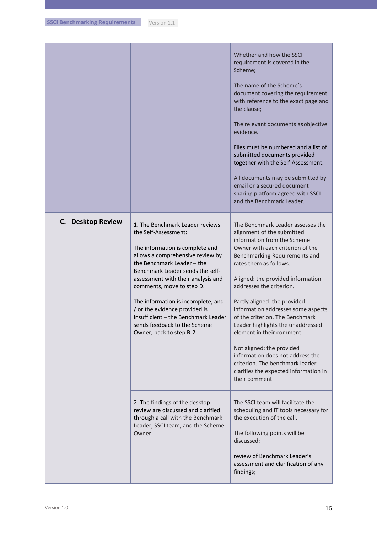|                   |                                                                                                                                                                                                                                                                                                                                                                                                                                               | Whether and how the SSCI<br>requirement is covered in the<br>Scheme;<br>The name of the Scheme's<br>document covering the requirement<br>with reference to the exact page and<br>the clause;<br>The relevant documents as objective<br>evidence.<br>Files must be numbered and a list of<br>submitted documents provided<br>together with the Self-Assessment.<br>All documents may be submitted by<br>email or a secured document<br>sharing platform agreed with SSCI<br>and the Benchmark Leader.                                                                                                     |
|-------------------|-----------------------------------------------------------------------------------------------------------------------------------------------------------------------------------------------------------------------------------------------------------------------------------------------------------------------------------------------------------------------------------------------------------------------------------------------|----------------------------------------------------------------------------------------------------------------------------------------------------------------------------------------------------------------------------------------------------------------------------------------------------------------------------------------------------------------------------------------------------------------------------------------------------------------------------------------------------------------------------------------------------------------------------------------------------------|
| C. Desktop Review | 1. The Benchmark Leader reviews<br>the Self-Assessment:<br>The information is complete and<br>allows a comprehensive review by<br>the Benchmark Leader - the<br>Benchmark Leader sends the self-<br>assessment with their analysis and<br>comments, move to step D.<br>The information is incomplete, and<br>/ or the evidence provided is<br>insufficient - the Benchmark Leader<br>sends feedback to the Scheme<br>Owner, back to step B-2. | The Benchmark Leader assesses the<br>alignment of the submitted<br>information from the Scheme<br>Owner with each criterion of the<br>Benchmarking Requirements and<br>rates them as follows:<br>Aligned: the provided information<br>addresses the criterion.<br>Partly aligned: the provided<br>information addresses some aspects<br>of the criterion. The Benchmark<br>Leader highlights the unaddressed<br>element in their comment.<br>Not aligned: the provided<br>information does not address the<br>criterion. The benchmark leader<br>clarifies the expected information in<br>their comment. |
|                   | 2. The findings of the desktop<br>review are discussed and clarified<br>through a call with the Benchmark<br>Leader, SSCI team, and the Scheme<br>Owner.                                                                                                                                                                                                                                                                                      | The SSCI team will facilitate the<br>scheduling and IT tools necessary for<br>the execution of the call.<br>The following points will be<br>discussed:<br>review of Benchmark Leader's<br>assessment and clarification of any<br>findings;                                                                                                                                                                                                                                                                                                                                                               |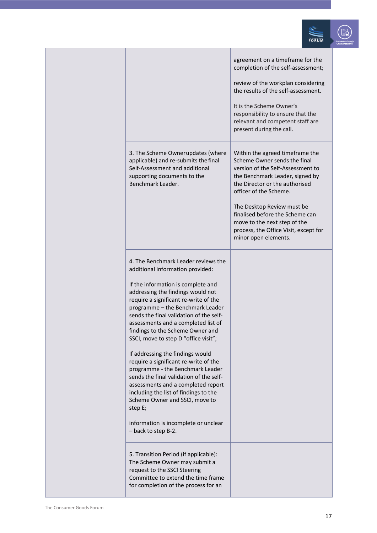|                                                                                                                                                                                                                                                                                                                                                                                                                                                                                                                                                                                                                                                                                                                                                      | agreement on a timeframe for the<br>completion of the self-assessment;<br>review of the workplan considering<br>the results of the self-assessment.<br>It is the Scheme Owner's<br>responsibility to ensure that the<br>relevant and competent staff are<br>present during the call.                                                                                  |  |
|------------------------------------------------------------------------------------------------------------------------------------------------------------------------------------------------------------------------------------------------------------------------------------------------------------------------------------------------------------------------------------------------------------------------------------------------------------------------------------------------------------------------------------------------------------------------------------------------------------------------------------------------------------------------------------------------------------------------------------------------------|-----------------------------------------------------------------------------------------------------------------------------------------------------------------------------------------------------------------------------------------------------------------------------------------------------------------------------------------------------------------------|--|
| 3. The Scheme Ownerupdates (where<br>applicable) and re-submits the final<br>Self-Assessment and additional<br>supporting documents to the<br>Benchmark Leader.                                                                                                                                                                                                                                                                                                                                                                                                                                                                                                                                                                                      | Within the agreed timeframe the<br>Scheme Owner sends the final<br>version of the Self-Assessment to<br>the Benchmark Leader, signed by<br>the Director or the authorised<br>officer of the Scheme.<br>The Desktop Review must be<br>finalised before the Scheme can<br>move to the next step of the<br>process, the Office Visit, except for<br>minor open elements. |  |
| 4. The Benchmark Leader reviews the<br>additional information provided:<br>If the information is complete and<br>addressing the findings would not<br>require a significant re-write of the<br>programme - the Benchmark Leader<br>sends the final validation of the self-<br>assessments and a completed list of<br>findings to the Scheme Owner and<br>SSCI, move to step D "office visit";<br>If addressing the findings would<br>require a significant re-write of the<br>programme - the Benchmark Leader<br>sends the final validation of the self-<br>assessments and a completed report<br>including the list of findings to the<br>Scheme Owner and SSCI, move to<br>step E;<br>information is incomplete or unclear<br>- back to step B-2. |                                                                                                                                                                                                                                                                                                                                                                       |  |
| 5. Transition Period (if applicable):<br>The Scheme Owner may submit a<br>request to the SSCI Steering<br>Committee to extend the time frame<br>for completion of the process for an                                                                                                                                                                                                                                                                                                                                                                                                                                                                                                                                                                 |                                                                                                                                                                                                                                                                                                                                                                       |  |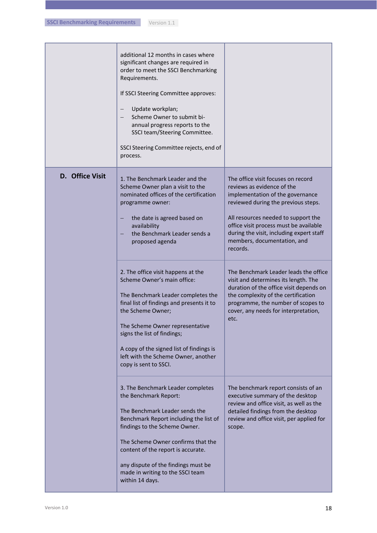|                 | additional 12 months in cases where<br>significant changes are required in<br>order to meet the SSCI Benchmarking<br>Requirements.<br>If SSCI Steering Committee approves:<br>Update workplan;<br>Scheme Owner to submit bi-<br>annual progress reports to the<br>SSCI team/Steering Committee.<br>SSCI Steering Committee rejects, end of<br>process.                                                                                                                                                                         |                                                                                                                                                                                                                                                                                                                                                                                                                                                                                                                                                                              |
|-----------------|--------------------------------------------------------------------------------------------------------------------------------------------------------------------------------------------------------------------------------------------------------------------------------------------------------------------------------------------------------------------------------------------------------------------------------------------------------------------------------------------------------------------------------|------------------------------------------------------------------------------------------------------------------------------------------------------------------------------------------------------------------------------------------------------------------------------------------------------------------------------------------------------------------------------------------------------------------------------------------------------------------------------------------------------------------------------------------------------------------------------|
| D. Office Visit | 1. The Benchmark Leader and the<br>Scheme Owner plan a visit to the<br>nominated offices of the certification<br>programme owner:<br>the date is agreed based on<br>availability<br>the Benchmark Leader sends a<br>proposed agenda<br>2. The office visit happens at the<br>Scheme Owner's main office:<br>The Benchmark Leader completes the<br>final list of findings and presents it to<br>the Scheme Owner;<br>The Scheme Owner representative<br>signs the list of findings;<br>A copy of the signed list of findings is | The office visit focuses on record<br>reviews as evidence of the<br>implementation of the governance<br>reviewed during the previous steps.<br>All resources needed to support the<br>office visit process must be available<br>during the visit, including expert staff<br>members, documentation, and<br>records.<br>The Benchmark Leader leads the office<br>visit and determines its length. The<br>duration of the office visit depends on<br>the complexity of the certification<br>programme, the number of scopes to<br>cover, any needs for interpretation,<br>etc. |
|                 | left with the Scheme Owner, another<br>copy is sent to SSCI.<br>3. The Benchmark Leader completes<br>the Benchmark Report:<br>The Benchmark Leader sends the<br>Benchmark Report including the list of<br>findings to the Scheme Owner.<br>The Scheme Owner confirms that the<br>content of the report is accurate.<br>any dispute of the findings must be<br>made in writing to the SSCI team<br>within 14 days.                                                                                                              | The benchmark report consists of an<br>executive summary of the desktop<br>review and office visit, as well as the<br>detailed findings from the desktop<br>review and office visit, per applied for<br>scope.                                                                                                                                                                                                                                                                                                                                                               |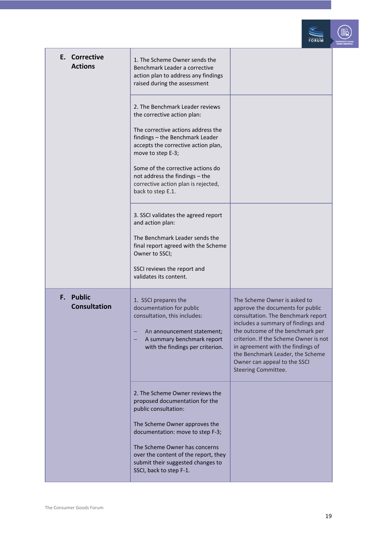

| E. Corrective<br><b>Actions</b>  | 1. The Scheme Owner sends the<br>Benchmark Leader a corrective<br>action plan to address any findings<br>raised during the assessment                                                                      |                                                                                                                                                                                                                                                                                                                                                                  |
|----------------------------------|------------------------------------------------------------------------------------------------------------------------------------------------------------------------------------------------------------|------------------------------------------------------------------------------------------------------------------------------------------------------------------------------------------------------------------------------------------------------------------------------------------------------------------------------------------------------------------|
|                                  | 2. The Benchmark Leader reviews<br>the corrective action plan:                                                                                                                                             |                                                                                                                                                                                                                                                                                                                                                                  |
|                                  | The corrective actions address the<br>findings - the Benchmark Leader<br>accepts the corrective action plan,<br>move to step E-3;                                                                          |                                                                                                                                                                                                                                                                                                                                                                  |
|                                  | Some of the corrective actions do<br>not address the findings - the<br>corrective action plan is rejected,<br>back to step E.1.                                                                            |                                                                                                                                                                                                                                                                                                                                                                  |
|                                  | 3. SSCI validates the agreed report<br>and action plan:                                                                                                                                                    |                                                                                                                                                                                                                                                                                                                                                                  |
|                                  | The Benchmark Leader sends the<br>final report agreed with the Scheme<br>Owner to SSCI;                                                                                                                    |                                                                                                                                                                                                                                                                                                                                                                  |
|                                  | SSCI reviews the report and<br>validates its content.                                                                                                                                                      |                                                                                                                                                                                                                                                                                                                                                                  |
| F. Public<br><b>Consultation</b> | 1. SSCI prepares the<br>documentation for public<br>consultation, this includes:<br>An announcement statement;<br>A summary benchmark report<br>with the findings per criterion.                           | The Scheme Owner is asked to<br>approve the documents for public<br>consultation. The Benchmark report<br>includes a summary of findings and<br>the outcome of the benchmark per<br>criterion. If the Scheme Owner is not<br>in agreement with the findings of<br>the Benchmark Leader, the Scheme<br>Owner can appeal to the SSCI<br><b>Steering Committee.</b> |
|                                  | 2. The Scheme Owner reviews the<br>proposed documentation for the<br>public consultation:                                                                                                                  |                                                                                                                                                                                                                                                                                                                                                                  |
|                                  | The Scheme Owner approves the<br>documentation: move to step F-3;<br>The Scheme Owner has concerns<br>over the content of the report, they<br>submit their suggested changes to<br>SSCI, back to step F-1. |                                                                                                                                                                                                                                                                                                                                                                  |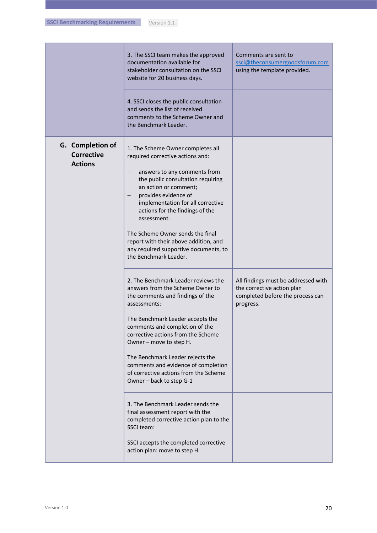|                                                         | 3. The SSCI team makes the approved<br>documentation available for<br>stakeholder consultation on the SSCI<br>website for 20 business days.                                                                                                                                                                                                                                                                                                            | Comments are sent to<br>ssci@theconsumergoodsforum.com<br>using the template provided.                             |
|---------------------------------------------------------|--------------------------------------------------------------------------------------------------------------------------------------------------------------------------------------------------------------------------------------------------------------------------------------------------------------------------------------------------------------------------------------------------------------------------------------------------------|--------------------------------------------------------------------------------------------------------------------|
|                                                         | 4. SSCI closes the public consultation<br>and sends the list of received<br>comments to the Scheme Owner and<br>the Benchmark Leader.                                                                                                                                                                                                                                                                                                                  |                                                                                                                    |
| G. Completion of<br><b>Corrective</b><br><b>Actions</b> | 1. The Scheme Owner completes all<br>required corrective actions and:<br>answers to any comments from<br>$\qquad \qquad -$<br>the public consultation requiring<br>an action or comment;<br>provides evidence of<br>implementation for all corrective<br>actions for the findings of the<br>assessment.<br>The Scheme Owner sends the final<br>report with their above addition, and<br>any required supportive documents, to<br>the Benchmark Leader. |                                                                                                                    |
|                                                         | 2. The Benchmark Leader reviews the<br>answers from the Scheme Owner to<br>the comments and findings of the<br>assessments:<br>The Benchmark Leader accepts the<br>comments and completion of the<br>corrective actions from the Scheme<br>Owner - move to step H.<br>The Benchmark Leader rejects the<br>comments and evidence of completion<br>of corrective actions from the Scheme<br>Owner - back to step G-1                                     | All findings must be addressed with<br>the corrective action plan<br>completed before the process can<br>progress. |
|                                                         | 3. The Benchmark Leader sends the<br>final assessment report with the<br>completed corrective action plan to the<br>SSCI team:<br>SSCI accepts the completed corrective<br>action plan: move to step H.                                                                                                                                                                                                                                                |                                                                                                                    |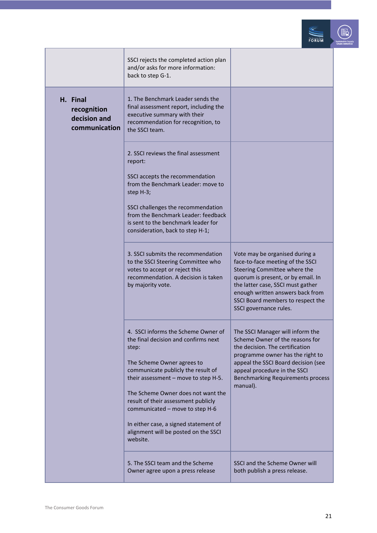

|                                                          | SSCI rejects the completed action plan<br>and/or asks for more information:<br>back to step G-1.                                                                                                                                                                                                                                                                                                              |                                                                                                                                                                                                                                                                                  |
|----------------------------------------------------------|---------------------------------------------------------------------------------------------------------------------------------------------------------------------------------------------------------------------------------------------------------------------------------------------------------------------------------------------------------------------------------------------------------------|----------------------------------------------------------------------------------------------------------------------------------------------------------------------------------------------------------------------------------------------------------------------------------|
| H. Final<br>recognition<br>decision and<br>communication | 1. The Benchmark Leader sends the<br>final assessment report, including the<br>executive summary with their<br>recommendation for recognition, to<br>the SSCI team.                                                                                                                                                                                                                                           |                                                                                                                                                                                                                                                                                  |
|                                                          | 2. SSCI reviews the final assessment<br>report:<br>SSCI accepts the recommendation<br>from the Benchmark Leader: move to<br>step H-3;<br>SSCI challenges the recommendation<br>from the Benchmark Leader: feedback<br>is sent to the benchmark leader for<br>consideration, back to step H-1;                                                                                                                 |                                                                                                                                                                                                                                                                                  |
|                                                          | 3. SSCI submits the recommendation<br>to the SSCI Steering Committee who<br>votes to accept or reject this<br>recommendation. A decision is taken<br>by majority vote.                                                                                                                                                                                                                                        | Vote may be organised during a<br>face-to-face meeting of the SSCI<br>Steering Committee where the<br>quorum is present, or by email. In<br>the latter case, SSCI must gather<br>enough written answers back from<br>SSCI Board members to respect the<br>SSCI governance rules. |
|                                                          | 4. SSCI informs the Scheme Owner of<br>the final decision and confirms next<br>step:<br>The Scheme Owner agrees to<br>communicate publicly the result of<br>their assessment - move to step H-5.<br>The Scheme Owner does not want the<br>result of their assessment publicly<br>communicated - move to step H-6<br>In either case, a signed statement of<br>alignment will be posted on the SSCI<br>website. | The SSCI Manager will inform the<br>Scheme Owner of the reasons for<br>the decision. The certification<br>programme owner has the right to<br>appeal the SSCI Board decision (see<br>appeal procedure in the SSCI<br><b>Benchmarking Requirements process</b><br>manual).        |
|                                                          | 5. The SSCI team and the Scheme<br>Owner agree upon a press release                                                                                                                                                                                                                                                                                                                                           | SSCI and the Scheme Owner will<br>both publish a press release.                                                                                                                                                                                                                  |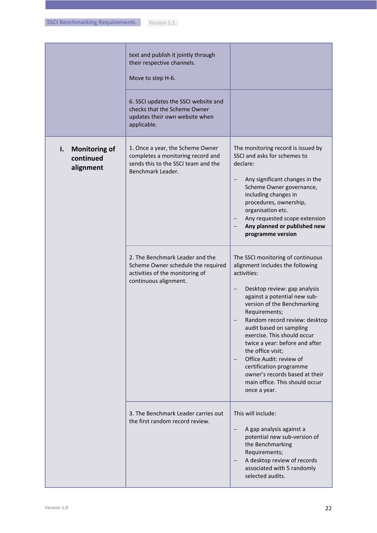| Version 1.1 |
|-------------|
|-------------|

|                                                      | text and publish it jointly through<br>their respective channels.<br>Move to step H-6.<br>6. SSCI updates the SSCI website and<br>checks that the Scheme Owner |                                                                                                                                                                                                                                                                                                                                                                                                                                                                                                                       |
|------------------------------------------------------|----------------------------------------------------------------------------------------------------------------------------------------------------------------|-----------------------------------------------------------------------------------------------------------------------------------------------------------------------------------------------------------------------------------------------------------------------------------------------------------------------------------------------------------------------------------------------------------------------------------------------------------------------------------------------------------------------|
|                                                      | updates their own website when<br>applicable.                                                                                                                  |                                                                                                                                                                                                                                                                                                                                                                                                                                                                                                                       |
| <b>Monitoring of</b><br>I.<br>continued<br>alignment | 1. Once a year, the Scheme Owner<br>completes a monitoring record and<br>sends this to the SSCI team and the<br>Benchmark Leader.                              | The monitoring record is issued by<br>SSCI and asks for schemes to<br>declare:<br>Any significant changes in the<br>$\overline{\phantom{0}}$<br>Scheme Owner governance,<br>including changes in<br>procedures, ownership,<br>organisation etc.<br>Any requested scope extension<br>Any planned or published new<br>programme version                                                                                                                                                                                 |
|                                                      | 2. The Benchmark Leader and the<br>Scheme Owner schedule the required<br>activities of the monitoring of<br>continuous alignment.                              | The SSCI monitoring of continuous<br>alignment includes the following<br>activities:<br>Desktop review: gap analysis<br>$\qquad \qquad -$<br>against a potential new sub-<br>version of the Benchmarking<br>Requirements;<br>Random record review: desktop<br>audit based on sampling<br>exercise. This should occur<br>twice a year: before and after<br>the office visit;<br>Office Audit: review of<br>certification programme<br>owner's records based at their<br>main office. This should occur<br>once a year. |
|                                                      | 3. The Benchmark Leader carries out<br>the first random record review.                                                                                         | This will include:<br>A gap analysis against a<br>potential new sub-version of<br>the Benchmarking<br>Requirements;<br>A desktop review of records<br>associated with 5 randomly<br>selected audits.                                                                                                                                                                                                                                                                                                                  |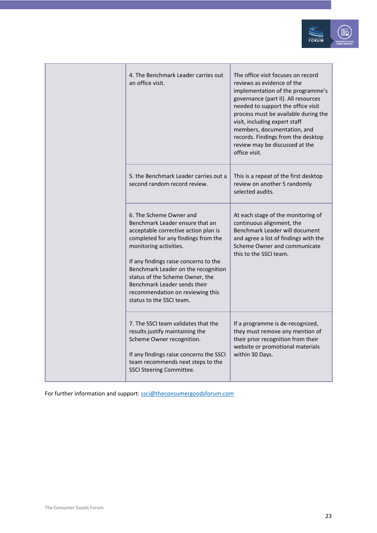

|  | 4. The Benchmark Leader carries out<br>an office visit.                                                                                                                                                                                                                                                                                                                                | The office visit focuses on record<br>reviews as evidence of the<br>implementation of the programme's<br>governance (part II). All resources<br>needed to support the office visit<br>process must be available during the<br>visit, including expert staff<br>members, documentation, and<br>records. Findings from the desktop<br>review may be discussed at the<br>office visit. |
|--|----------------------------------------------------------------------------------------------------------------------------------------------------------------------------------------------------------------------------------------------------------------------------------------------------------------------------------------------------------------------------------------|-------------------------------------------------------------------------------------------------------------------------------------------------------------------------------------------------------------------------------------------------------------------------------------------------------------------------------------------------------------------------------------|
|  | 5. the Benchmark Leader carries out a<br>second random record review.                                                                                                                                                                                                                                                                                                                  | This is a repeat of the first desktop<br>review on another 5 randomly<br>selected audits.                                                                                                                                                                                                                                                                                           |
|  | 6. The Scheme Owner and<br>Benchmark Leader ensure that an<br>acceptable corrective action plan is<br>completed for any findings from the<br>monitoring activities.<br>If any findings raise concerns to the<br>Benchmark Leader on the recognition<br>status of the Scheme Owner, the<br>Benchmark Leader sends their<br>recommendation on reviewing this<br>status to the SSCI team. | At each stage of the monitoring of<br>continuous alignment, the<br>Benchmark Leader will document<br>and agree a list of findings with the<br>Scheme Owner and communicate<br>this to the SSCI team.                                                                                                                                                                                |
|  | 7. The SSCI team validates that the<br>results justify maintaining the<br>Scheme Owner recognition.<br>If any findings raise concerns the SSCI<br>team recommends next steps to the<br><b>SSCI Steering Committee.</b>                                                                                                                                                                 | If a programme is de-recognized,<br>they must remove any mention of<br>their prior recognition from their<br>website or promotional materials<br>within 30 Days.                                                                                                                                                                                                                    |

For further information and support[: ssci@theconsumergoodsforum.com](mailto:ssci@theconsumergoodsforum.com)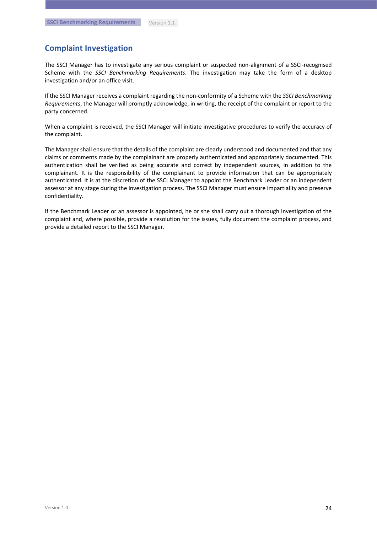### **Complaint Investigation**

The SSCI Manager has to investigate any serious complaint or suspected non-alignment of a SSCI-recognised Scheme with the *SSCI Benchmarking Requirements*. The investigation may take the form of a desktop investigation and/or an office visit.

If the SSCI Manager receives a complaint regarding the non-conformity of a Scheme with the *SSCI Benchmarking Requirements*, the Manager will promptly acknowledge, in writing, the receipt of the complaint or report to the party concerned.

When a complaint is received, the SSCI Manager will initiate investigative procedures to verify the accuracy of the complaint.

The Manager shall ensure that the details of the complaint are clearly understood and documented and that any claims or comments made by the complainant are properly authenticated and appropriately documented. This authentication shall be verified as being accurate and correct by independent sources, in addition to the complainant. It is the responsibility of the complainant to provide information that can be appropriately authenticated. It is at the discretion of the SSCI Manager to appoint the Benchmark Leader or an independent assessor at any stage during the investigation process. The SSCI Manager must ensure impartiality and preserve confidentiality.

If the Benchmark Leader or an assessor is appointed, he or she shall carry out a thorough investigation of the complaint and, where possible, provide a resolution for the issues, fully document the complaint process, and provide a detailed report to the SSCI Manager.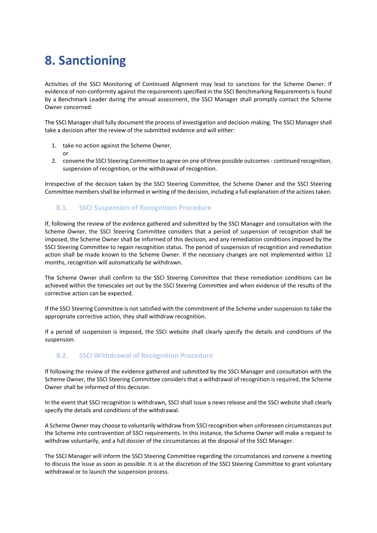## <span id="page-24-0"></span>**8. Sanctioning**

or

Activities of the SSCI Monitoring of Continued Alignment may lead to sanctions for the Scheme Owner. If evidence of non-conformity against the requirements specified in the SSCI Benchmarking Requirements is found by a Benchmark Leader during the annual assessment, the SSCI Manager shall promptly contact the Scheme Owner concerned.

The SSCI Manager shall fully document the process of investigation and decision-making. The SSCI Manager shall take a decision after the review of the submitted evidence and will either:

- 1. take no action against the Scheme Owner,
- 2. convene the SSCI Steering Committee to agree on one of three possible outcomes continued recognition, suspension of recognition, or the withdrawal of recognition.

Irrespective of the decision taken by the SSCI Steering Committee, the Scheme Owner and the SSCI Steering Committee members shall be informed in writing of the decision, including a full explanation of the actions taken.

### <span id="page-24-1"></span>**8.1. SSCI Suspension of Recognition Procedure**

If, following the review of the evidence gathered and submitted by the SSCI Manager and consultation with the Scheme Owner, the SSCI Steering Committee considers that a period of suspension of recognition shall be imposed, the Scheme Owner shall be informed of this decision, and any remediation conditions imposed by the SSCI Steering Committee to regain recognition status. The period of suspension of recognition and remediation action shall be made known to the Scheme Owner. If the necessary changes are not implemented within 12 months, recognition will automatically be withdrawn.

The Scheme Owner shall confirm to the SSCI Steering Committee that these remediation conditions can be achieved within the timescales set out by the SSCI Steering Committee and when evidence of the results of the corrective action can be expected.

If the SSCI Steering Committee is not satisfied with the commitment of the Scheme under suspension to take the appropriate corrective action, they shall withdraw recognition.

If a period of suspension is imposed, the SSCI website shall clearly specify the details and conditions of the suspension.

#### <span id="page-24-2"></span>**8.2. SSCI Withdrawal of Recognition Procedure**

If following the review of the evidence gathered and submitted by the SSCI Manager and consultation with the Scheme Owner, the SSCI Steering Committee considers that a withdrawal of recognition is required, the Scheme Owner shall be informed of this decision.

In the event that SSCI recognition is withdrawn, SSCI shall issue a news release and the SSCI website shall clearly specify the details and conditions of the withdrawal.

A Scheme Owner may choose to voluntarily withdraw from SSCI recognition when unforeseen circumstances put the Scheme into contravention of SSCI requirements. In this instance, the Scheme Owner will make a request to withdraw voluntarily, and a full dossier of the circumstances at the disposal of the SSCI Manager.

The SSCI Manager will inform the SSCI Steering Committee regarding the circumstances and convene a meeting to discuss the issue as soon as possible. It is at the discretion of the SSCI Steering Committee to grant voluntary withdrawal or to launch the suspension process.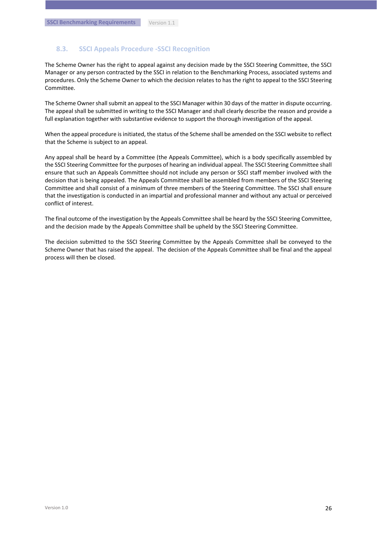#### <span id="page-25-0"></span>**8.3. SSCI Appeals Procedure -SSCI Recognition**

The Scheme Owner has the right to appeal against any decision made by the SSCI Steering Committee, the SSCI Manager or any person contracted by the SSCI in relation to the Benchmarking Process, associated systems and procedures. Only the Scheme Owner to which the decision relates to has the right to appeal to the SSCI Steering Committee.

The Scheme Owner shall submit an appeal to the SSCI Manager within 30 days of the matter in dispute occurring. The appeal shall be submitted in writing to the SSCI Manager and shall clearly describe the reason and provide a full explanation together with substantive evidence to support the thorough investigation of the appeal.

When the appeal procedure is initiated, the status of the Scheme shall be amended on the SSCI website to reflect that the Scheme is subject to an appeal.

Any appeal shall be heard by a Committee (the Appeals Committee), which is a body specifically assembled by the SSCI Steering Committee for the purposes of hearing an individual appeal. The SSCI Steering Committee shall ensure that such an Appeals Committee should not include any person or SSCI staff member involved with the decision that is being appealed. The Appeals Committee shall be assembled from members of the SSCI Steering Committee and shall consist of a minimum of three members of the Steering Committee. The SSCI shall ensure that the investigation is conducted in an impartial and professional manner and without any actual or perceived conflict of interest.

The final outcome of the investigation by the Appeals Committee shall be heard by the SSCI Steering Committee, and the decision made by the Appeals Committee shall be upheld by the SSCI Steering Committee.

The decision submitted to the SSCI Steering Committee by the Appeals Committee shall be conveyed to the Scheme Owner that has raised the appeal. The decision of the Appeals Committee shall be final and the appeal process will then be closed.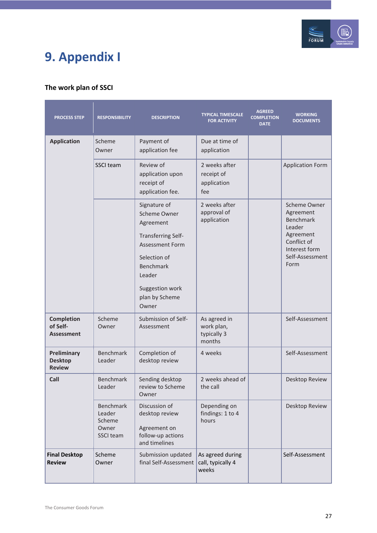

# <span id="page-26-0"></span>**9. Appendix I**

## **The work plan of SSCI**

| <b>PROCESS STEP</b>                                | <b>RESPONSIBILITY</b>                               | <b>DESCRIPTION</b>                                                                                                                                                                           | <b>TYPICAL TIMESCALE</b><br><b>FOR ACTIVITY</b>     | <b>AGREED</b><br><b>COMPLETION</b><br><b>DATE</b> | <b>WORKING</b><br><b>DOCUMENTS</b>                                                                                              |
|----------------------------------------------------|-----------------------------------------------------|----------------------------------------------------------------------------------------------------------------------------------------------------------------------------------------------|-----------------------------------------------------|---------------------------------------------------|---------------------------------------------------------------------------------------------------------------------------------|
| <b>Application</b>                                 | Scheme<br>Owner                                     | Payment of<br>application fee                                                                                                                                                                | Due at time of<br>application                       |                                                   |                                                                                                                                 |
|                                                    | SSCI team                                           | Review of<br>application upon<br>receipt of<br>application fee.                                                                                                                              | 2 weeks after<br>receipt of<br>application<br>fee   |                                                   | <b>Application Form</b>                                                                                                         |
|                                                    |                                                     | Signature of<br>Scheme Owner<br>Agreement<br><b>Transferring Self-</b><br><b>Assessment Form</b><br>Selection of<br><b>Benchmark</b><br>Leader<br>Suggestion work<br>plan by Scheme<br>Owner | 2 weeks after<br>approval of<br>application         |                                                   | Scheme Owner<br>Agreement<br><b>Benchmark</b><br>Leader<br>Agreement<br>Conflict of<br>Interest form<br>Self-Assessment<br>Form |
| <b>Completion</b><br>of Self-<br><b>Assessment</b> | Scheme<br>Owner                                     | Submission of Self-<br>Assessment                                                                                                                                                            | As agreed in<br>work plan,<br>typically 3<br>months |                                                   | Self-Assessment                                                                                                                 |
| Preliminary<br><b>Desktop</b><br><b>Review</b>     | Benchmark<br>Leader                                 | Completion of<br>desktop review                                                                                                                                                              | 4 weeks                                             |                                                   | Self-Assessment                                                                                                                 |
| Call                                               | Benchmark<br>Leader                                 | Sending desktop<br>review to Scheme<br>Owner                                                                                                                                                 | 2 weeks ahead of<br>the call                        |                                                   | Desktop Review                                                                                                                  |
|                                                    | Benchmark<br>Leader<br>Scheme<br>Owner<br>SSCI team | Discussion of<br>desktop review<br>Agreement on<br>follow-up actions<br>and timelines                                                                                                        | Depending on<br>findings: 1 to 4<br>hours           |                                                   | Desktop Review                                                                                                                  |
| <b>Final Desktop</b><br><b>Review</b>              | Scheme<br>Owner                                     | Submission updated<br>final Self-Assessment                                                                                                                                                  | As agreed during<br>call, typically 4<br>weeks      |                                                   | Self-Assessment                                                                                                                 |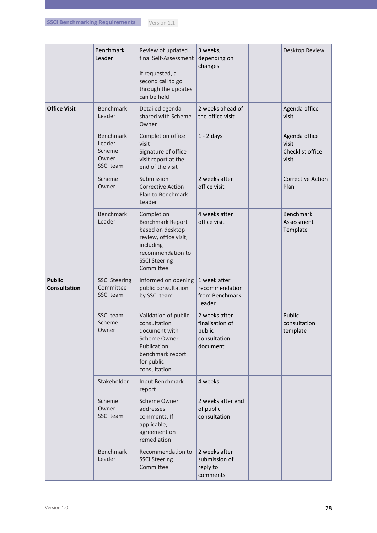| Version 1.1 |
|-------------|
|-------------|

|                                      | Benchmark<br>Leader                                               | Review of updated<br>final Self-Assessment<br>If requested, a<br>second call to go<br>through the updates<br>can be held                                  | 3 weeks,<br>depending on<br>changes                                    | Desktop Review                                      |
|--------------------------------------|-------------------------------------------------------------------|-----------------------------------------------------------------------------------------------------------------------------------------------------------|------------------------------------------------------------------------|-----------------------------------------------------|
| <b>Office Visit</b>                  | <b>Benchmark</b><br>Leader                                        | Detailed agenda<br>shared with Scheme<br>Owner                                                                                                            | 2 weeks ahead of<br>the office visit                                   | Agenda office<br>visit                              |
|                                      | <b>Benchmark</b><br>Leader<br>Scheme<br>Owner<br><b>SSCI team</b> | Completion office<br>visit<br>Signature of office<br>visit report at the<br>end of the visit                                                              | $1 - 2$ days                                                           | Agenda office<br>visit<br>Checklist office<br>visit |
|                                      | Scheme<br>Owner                                                   | Submission<br><b>Corrective Action</b><br>Plan to Benchmark<br>Leader                                                                                     | 2 weeks after<br>office visit                                          | <b>Corrective Action</b><br>Plan                    |
|                                      | <b>Benchmark</b><br>Leader                                        | Completion<br><b>Benchmark Report</b><br>based on desktop<br>review, office visit;<br>including<br>recommendation to<br><b>SSCI Steering</b><br>Committee | 4 weeks after<br>office visit                                          | <b>Benchmark</b><br>Assessment<br>Template          |
| <b>Public</b><br><b>Consultation</b> | <b>SSCI Steering</b><br>Committee<br>SSCI team                    | Informed on opening<br>public consultation<br>by SSCI team                                                                                                | 1 week after<br>recommendation<br>from Benchmark<br>Leader             |                                                     |
|                                      | SSCI team<br>Scheme<br>Owner                                      | Validation of public<br>consultation<br>document with<br>Scheme Owner<br>Publication<br>benchmark report<br>for public<br>consultation                    | 2 weeks after<br>finalisation of<br>public<br>consultation<br>document | Public<br>consultation<br>template                  |
|                                      | Stakeholder                                                       | Input Benchmark<br>report                                                                                                                                 | 4 weeks                                                                |                                                     |
|                                      | Scheme<br>Owner<br>SSCI team                                      | Scheme Owner<br>addresses<br>comments; If<br>applicable,<br>agreement on<br>remediation                                                                   | 2 weeks after end<br>of public<br>consultation                         |                                                     |
|                                      | <b>Benchmark</b><br>Leader                                        | Recommendation to<br><b>SSCI Steering</b><br>Committee                                                                                                    | 2 weeks after<br>submission of<br>reply to<br>comments                 |                                                     |